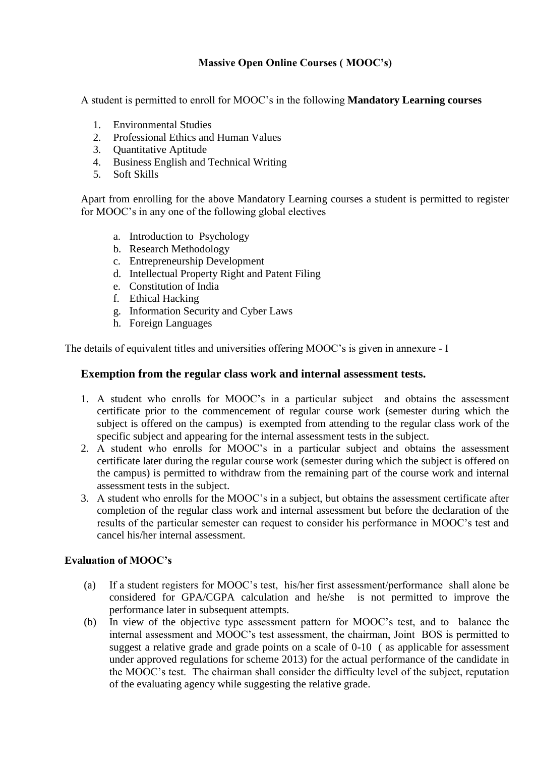## **Massive Open Online Courses ( MOOC's)**

A student is permitted to enroll for MOOC's in the following **Mandatory Learning courses**

- 1. Environmental Studies
- 2. Professional Ethics and Human Values
- 3. Quantitative Aptitude
- 4. Business English and Technical Writing
- 5. Soft Skills

Apart from enrolling for the above Mandatory Learning courses a student is permitted to register for MOOC's in any one of the following global electives

- a. Introduction to Psychology
- b. Research Methodology
- c. Entrepreneurship Development
- d. Intellectual Property Right and Patent Filing
- e. Constitution of India
- f. Ethical Hacking
- g. Information Security and Cyber Laws
- h. Foreign Languages

The details of equivalent titles and universities offering MOOC's is given in annexure - I

## **Exemption from the regular class work and internal assessment tests.**

- 1. A student who enrolls for MOOC's in a particular subject and obtains the assessment certificate prior to the commencement of regular course work (semester during which the subject is offered on the campus) is exempted from attending to the regular class work of the specific subject and appearing for the internal assessment tests in the subject.
- 2. A student who enrolls for MOOC's in a particular subject and obtains the assessment certificate later during the regular course work (semester during which the subject is offered on the campus) is permitted to withdraw from the remaining part of the course work and internal assessment tests in the subject.
- 3. A student who enrolls for the MOOC's in a subject, but obtains the assessment certificate after completion of the regular class work and internal assessment but before the declaration of the results of the particular semester can request to consider his performance in MOOC's test and cancel his/her internal assessment.

## **Evaluation of MOOC's**

- (a) If a student registers for MOOC's test, his/her first assessment/performance shall alone be considered for GPA/CGPA calculation and he/she is not permitted to improve the performance later in subsequent attempts.
- (b) In view of the objective type assessment pattern for MOOC's test, and to balance the internal assessment and MOOC's test assessment, the chairman, Joint BOS is permitted to suggest a relative grade and grade points on a scale of 0-10 ( as applicable for assessment under approved regulations for scheme 2013) for the actual performance of the candidate in the MOOC's test. The chairman shall consider the difficulty level of the subject, reputation of the evaluating agency while suggesting the relative grade.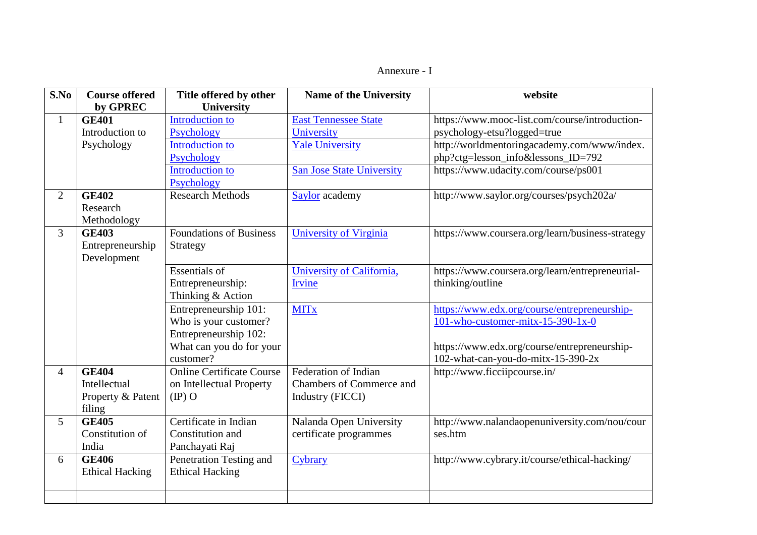## Annexure - I

| S.No           | <b>Course offered</b>  | Title offered by other           | <b>Name of the University</b>    | website                                          |
|----------------|------------------------|----------------------------------|----------------------------------|--------------------------------------------------|
|                | by GPREC               | <b>University</b>                |                                  |                                                  |
| $\mathbf{1}$   | <b>GE401</b>           | <b>Introduction to</b>           | <b>East Tennessee State</b>      | https://www.mooc-list.com/course/introduction-   |
|                | Introduction to        | Psychology                       | University                       | psychology-etsu?logged=true                      |
|                | Psychology             | <b>Introduction to</b>           | <b>Yale University</b>           | http://worldmentoringacademy.com/www/index.      |
|                |                        | Psychology                       |                                  | php?ctg=lesson_info&lessons_ID=792               |
|                |                        | <b>Introduction to</b>           | <b>San Jose State University</b> | https://www.udacity.com/course/ps001             |
|                |                        | Psychology                       |                                  |                                                  |
| $\overline{2}$ | <b>GE402</b>           | <b>Research Methods</b>          | Saylor academy                   | http://www.saylor.org/courses/psych202a/         |
|                | Research               |                                  |                                  |                                                  |
|                | Methodology            |                                  |                                  |                                                  |
| 3              | <b>GE403</b>           | <b>Foundations of Business</b>   | <b>University of Virginia</b>    | https://www.coursera.org/learn/business-strategy |
|                | Entrepreneurship       | Strategy                         |                                  |                                                  |
|                | Development            |                                  |                                  |                                                  |
|                |                        | <b>Essentials of</b>             | University of California,        | https://www.coursera.org/learn/entrepreneurial-  |
|                |                        | Entrepreneurship:                | <b>Irvine</b>                    | thinking/outline                                 |
|                |                        | Thinking & Action                |                                  |                                                  |
|                |                        | Entrepreneurship 101:            | <b>MITx</b>                      | https://www.edx.org/course/entrepreneurship-     |
|                |                        | Who is your customer?            |                                  | 101-who-customer-mitx-15-390-1x-0                |
|                |                        | Entrepreneurship 102:            |                                  |                                                  |
|                |                        | What can you do for your         |                                  | https://www.edx.org/course/entrepreneurship-     |
|                |                        | customer?                        |                                  | 102-what-can-you-do-mitx-15-390-2x               |
| $\overline{4}$ | <b>GE404</b>           | <b>Online Certificate Course</b> | <b>Federation of Indian</b>      | http://www.ficciipcourse.in/                     |
|                | Intellectual           | on Intellectual Property         | <b>Chambers of Commerce and</b>  |                                                  |
|                | Property & Patent      | $(\mathbb{P})$ O                 | <b>Industry (FICCI)</b>          |                                                  |
|                | filing                 |                                  |                                  |                                                  |
| 5              | <b>GE405</b>           | Certificate in Indian            | Nalanda Open University          | http://www.nalandaopenuniversity.com/nou/cour    |
|                | Constitution of        | Constitution and                 | certificate programmes           | ses.htm                                          |
|                | India                  | Panchayati Raj                   |                                  |                                                  |
| 6              | <b>GE406</b>           | Penetration Testing and          | Cybrary                          | http://www.cybrary.it/course/ethical-hacking/    |
|                | <b>Ethical Hacking</b> | <b>Ethical Hacking</b>           |                                  |                                                  |
|                |                        |                                  |                                  |                                                  |
|                |                        |                                  |                                  |                                                  |